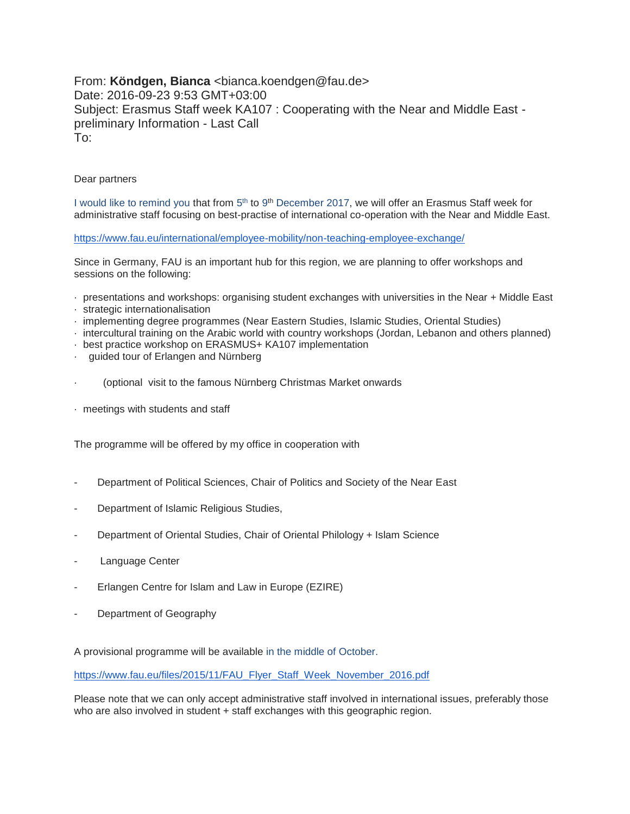From: Köndgen, Bianca <bianca.koendgen@fau.de> Date: 2016-09-23 9:53 GMT+03:00 Subject: Erasmus Staff week KA107 : Cooperating with the Near and Middle East preliminary Information - Last Call To:

## Dear partners

I would like to remind you that from 5<sup>th</sup> to 9<sup>th</sup> December 2017, we will offer an Erasmus Staff week for administrative staff focusing on best-practise of international co-operation with the Near and Middle East.

<https://www.fau.eu/international/employee-mobility/non-teaching-employee-exchange/>

Since in Germany, FAU is an important hub for this region, we are planning to offer workshops and sessions on the following:

- · presentations and workshops: organising student exchanges with universities in the Near + Middle East
- · strategic internationalisation
- · implementing degree programmes (Near Eastern Studies, Islamic Studies, Oriental Studies)
- · intercultural training on the Arabic world with country workshops (Jordan, Lebanon and others planned)
- · best practice workshop on ERASMUS+ KA107 implementation
- · guided tour of Erlangen and Nürnberg
- · (optional visit to the famous Nürnberg Christmas Market onwards
- · meetings with students and staff

The programme will be offered by my office in cooperation with

- Department of Political Sciences, Chair of Politics and Society of the Near East
- Department of Islamic Religious Studies,
- Department of Oriental Studies, Chair of Oriental Philology + Islam Science
- Language Center
- Erlangen Centre for Islam and Law in Europe (EZIRE)
- Department of Geography

A provisional programme will be available in the middle of October.

[https://www.fau.eu/files/2015/11/FAU\\_Flyer\\_Staff\\_Week\\_November\\_2016.pdf](https://www.fau.eu/files/2015/11/FAU_Flyer_Staff_Week_November_2016.pdf)

Please note that we can only accept administrative staff involved in international issues, preferably those who are also involved in student + staff exchanges with this geographic region.